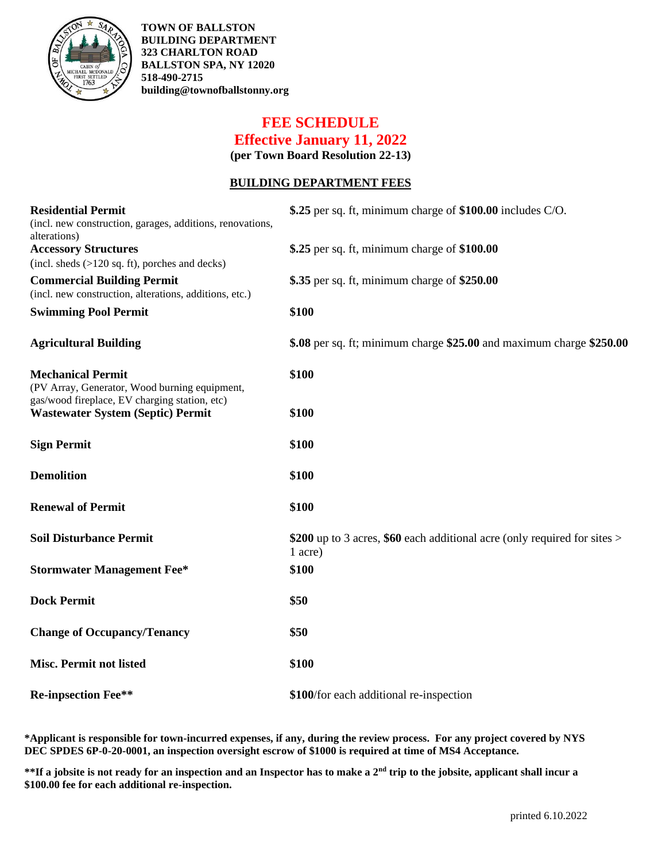

**TOWN OF BALLSTON BUILDING DEPARTMENT 323 CHARLTON ROAD BALLSTON SPA, NY 12020 518-490-2715 building@townofballstonny.org**

# **FEE SCHEDULE Effective January 11, 2022**

**(per Town Board Resolution 22-13)**

#### **BUILDING DEPARTMENT FEES**

| <b>Residential Permit</b><br>(incl. new construction, garages, additions, renovations,<br>alterations) | \$.25 per sq. ft, minimum charge of \$100.00 includes C/O.                           |
|--------------------------------------------------------------------------------------------------------|--------------------------------------------------------------------------------------|
| <b>Accessory Structures</b><br>(incl. sheds (>120 sq. ft), porches and decks)                          | \$.25 per sq. ft, minimum charge of $$100.00$                                        |
| <b>Commercial Building Permit</b><br>(incl. new construction, alterations, additions, etc.)            | \$.35 per sq. ft, minimum charge of \$250.00                                         |
| <b>Swimming Pool Permit</b>                                                                            | \$100                                                                                |
| <b>Agricultural Building</b>                                                                           | \$.08 per sq. ft; minimum charge \$25.00 and maximum charge \$250.00                 |
| <b>Mechanical Permit</b><br>(PV Array, Generator, Wood burning equipment,                              | \$100                                                                                |
| gas/wood fireplace, EV charging station, etc)<br><b>Wastewater System (Septic) Permit</b>              | \$100                                                                                |
| <b>Sign Permit</b>                                                                                     | \$100                                                                                |
| <b>Demolition</b>                                                                                      | \$100                                                                                |
| <b>Renewal of Permit</b>                                                                               | \$100                                                                                |
| <b>Soil Disturbance Permit</b>                                                                         | \$200 up to 3 acres, \$60 each additional acre (only required for sites ><br>1 acre) |
| <b>Stormwater Management Fee*</b>                                                                      | \$100                                                                                |
| <b>Dock Permit</b>                                                                                     | \$50                                                                                 |
| <b>Change of Occupancy/Tenancy</b>                                                                     | \$50                                                                                 |
| <b>Misc. Permit not listed</b>                                                                         | \$100                                                                                |
| <b>Re-inpsection Fee**</b>                                                                             | \$100/for each additional re-inspection                                              |

**\*Applicant is responsible for town-incurred expenses, if any, during the review process. For any project covered by NYS DEC SPDES 6P-0-20-0001, an inspection oversight escrow of \$1000 is required at time of MS4 Acceptance.**

**\*\*If a jobsite is not ready for an inspection and an Inspector has to make a 2nd trip to the jobsite, applicant shall incur a \$100.00 fee for each additional re-inspection.**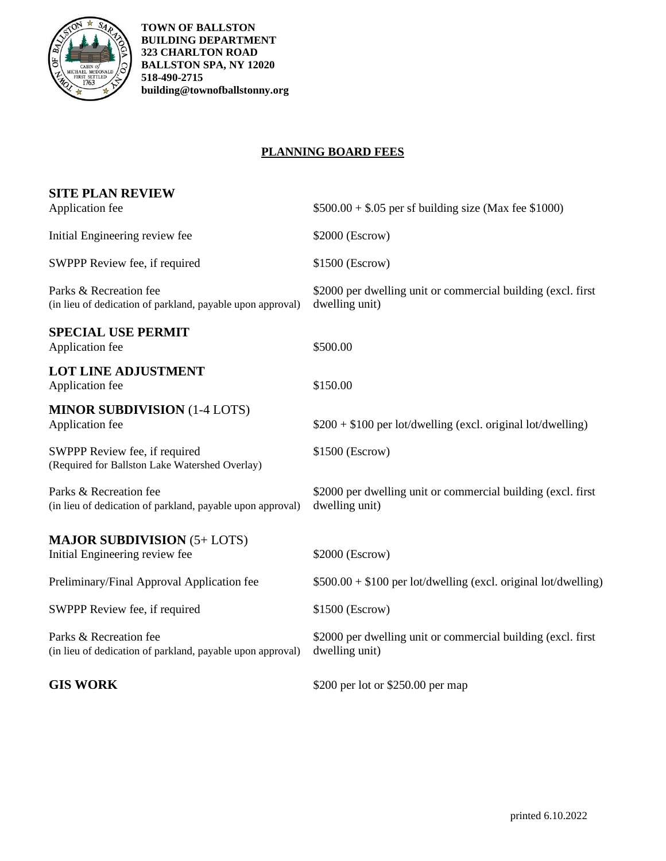

**TOWN OF BALLSTON BUILDING DEPARTMENT 323 CHARLTON ROAD BALLSTON SPA, NY 12020 518-490-2715 building@townofballstonny.org**

### **PLANNING BOARD FEES**

| <b>SITE PLAN REVIEW</b>                                                              |                                                                                 |
|--------------------------------------------------------------------------------------|---------------------------------------------------------------------------------|
| Application fee                                                                      | $$500.00 + $.05$ per sf building size (Max fee \$1000)                          |
| Initial Engineering review fee                                                       | \$2000 (Escrow)                                                                 |
| SWPPP Review fee, if required                                                        | \$1500 (Escrow)                                                                 |
| Parks & Recreation fee<br>(in lieu of dedication of parkland, payable upon approval) | \$2000 per dwelling unit or commercial building (excl. first)<br>dwelling unit) |
| <b>SPECIAL USE PERMIT</b><br>Application fee                                         | \$500.00                                                                        |
| <b>LOT LINE ADJUSTMENT</b><br>Application fee                                        | \$150.00                                                                        |
| <b>MINOR SUBDIVISION (1-4 LOTS)</b><br>Application fee                               | \$200 + \$100 per lot/dwelling (excl. original lot/dwelling)                    |
| SWPPP Review fee, if required<br>(Required for Ballston Lake Watershed Overlay)      | \$1500 (Escrow)                                                                 |
| Parks & Recreation fee<br>(in lieu of dedication of parkland, payable upon approval) | \$2000 per dwelling unit or commercial building (excl. first)<br>dwelling unit) |
| <b>MAJOR SUBDIVISION (5+ LOTS)</b><br>Initial Engineering review fee                 | \$2000 (Escrow)                                                                 |
| Preliminary/Final Approval Application fee                                           | $$500.00 + $100$ per lot/dwelling (excl. original lot/dwelling)                 |
| SWPPP Review fee, if required                                                        | \$1500 (Escrow)                                                                 |
| Parks & Recreation fee<br>(in lieu of dedication of parkland, payable upon approval) | \$2000 per dwelling unit or commercial building (excl. first<br>dwelling unit)  |
| <b>GIS WORK</b>                                                                      | \$200 per lot or \$250.00 per map                                               |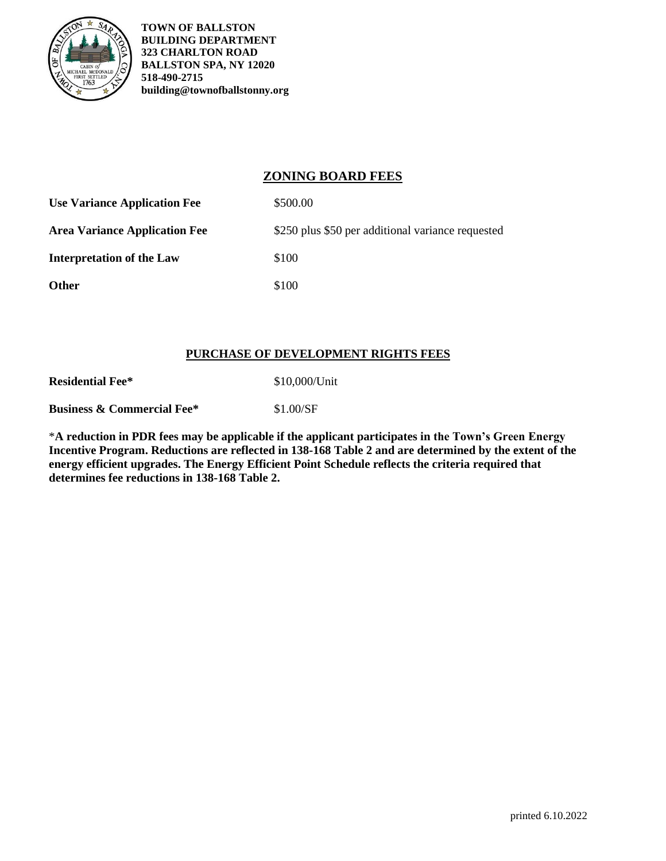

**TOWN OF BALLSTON BUILDING DEPARTMENT 323 CHARLTON ROAD BALLSTON SPA, NY 12020 518-490-2715 building@townofballstonny.org**

## **ZONING BOARD FEES**

| <b>Use Variance Application Fee</b>  | \$500.00                                          |
|--------------------------------------|---------------------------------------------------|
| <b>Area Variance Application Fee</b> | \$250 plus \$50 per additional variance requested |
| <b>Interpretation of the Law</b>     | \$100                                             |
| Other                                | \$100                                             |

#### **PURCHASE OF DEVELOPMENT RIGHTS FEES**

| <b>Residential Fee*</b>               | \$10,000/Unit |
|---------------------------------------|---------------|
| <b>Business &amp; Commercial Fee*</b> | \$1.00/SF     |

\***A reduction in PDR fees may be applicable if the applicant participates in the Town's Green Energy Incentive Program. Reductions are reflected in 138-168 Table 2 and are determined by the extent of the energy efficient upgrades. The Energy Efficient Point Schedule reflects the criteria required that determines fee reductions in 138-168 Table 2.**